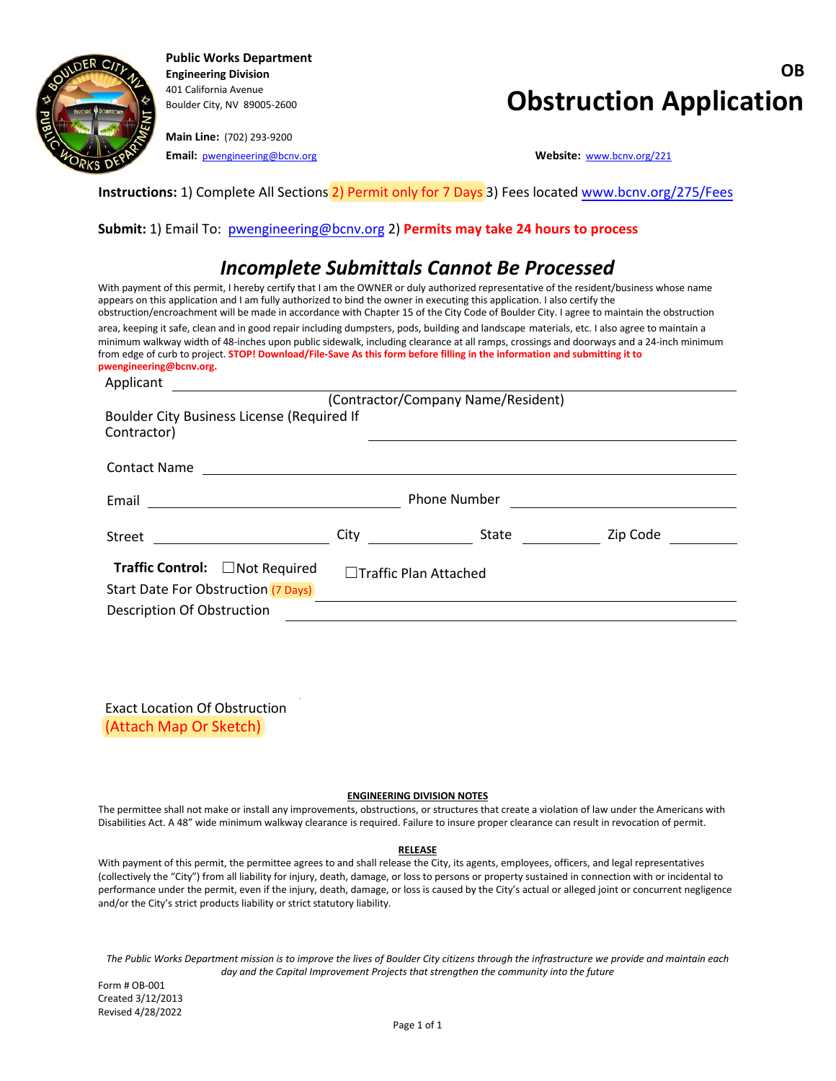

**Public Works Department** 401 California Avenue

**Main Line:** (702) 293-9200 **Email:** [pwengineering@bcnv.org](mailto:pwengineering@bcnv.org) **Website:** [www.bcnv.org/221](http://www.bcnv.org/221)

# **Engineering Division OB Boulder City, NV 89005-2600 Obstruction Application**

**Instructions:** 1) Complete All Sections 2) Permit only for 7 Days 3) Fees locate[d www.bcnv.org/275/Fee](https://www.bcnv.org/275/Fees)s

### **Submit:** 1) Email To: pwengineering@bcnv.org 2) **[Permits may take 24 hou](file://bcnv.local/voa/Public%20Works/Forms-Templates/Forms/Obstruction%20Permit/Working/pwengineering@bcnv.org)rs to process**

### *Incomplete Submittals Cannot Be Processed*

With payment of this permit, I hereby certify that I am the OWNER or duly authorized representative of the resident/business whose name appears on this application and I am fully authorized to bind the owner in executing this application. I also certify the obstruction/encroachment will be made in accordance with Chapter 15 of the City Code of Boulder City. I agree to maintain the obstruction area, keeping it safe, clean and in good repair including dumpsters, pods, building and landscape materials, etc. I also agree to maintain a minimum walkway width of 48-inches upon public sidewalk, including clearance at all ramps, crossings and doorways and a 24-inch minimum from edge of curb to project. **STOP! Download/File-Save As this form before filling in the information and submitting it to pwengineering@bcnv.org.**

| Applicant                                                  |                              |                     |          |
|------------------------------------------------------------|------------------------------|---------------------|----------|
| (Contractor/Company Name/Resident)                         |                              |                     |          |
| Boulder City Business License (Required If<br>Contractor)  |                              |                     |          |
| <b>Contact Name</b>                                        |                              |                     |          |
|                                                            |                              |                     |          |
|                                                            |                              | <b>Phone Number</b> |          |
| Street<br>the company of the company of the company of the | City                         | State               | Zip Code |
| Traffic Control: □ Not Required                            | $\Box$ Traffic Plan Attached |                     |          |
| Start Date For Obstruction (7 Days)                        |                              |                     |          |
| Description Of Obstruction                                 |                              |                     |          |

Exact Location Of Obstruction (Attach Map Or Sketch)

#### **ENGINEERING DIVISION NOTES**

The permittee shall not make or install any improvements, obstructions, or structures that create a violation of law under the Americans with Disabilities Act. A 48" wide minimum walkway clearance is required. Failure to insure proper clearance can result in revocation of permit.

#### **RELEASE**

With payment of this permit, the permittee agrees to and shall release the City, its agents, employees, officers, and legal representatives (collectively the "City") from all liability for injury, death, damage, or loss to persons or property sustained in connection with or incidental to performance under the permit, even if the injury, death, damage, or loss is caused by the City's actual or alleged joint or concurrent negligence and/or the City's strict products liability or strict statutory liability.

*The Public Works Department mission is to improve the lives of Boulder City citizens through the infrastructure we provide and maintain each day and the Capital Improvement Projects that strengthen the community into the future*

Form # OB-001 Created 3/12/2013 Revised 4/28/2022